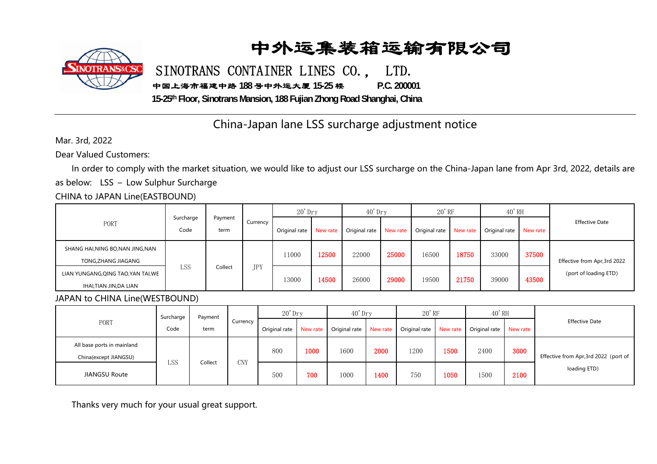## 中外运集装箱运输有限公司



SINOTRANS CONTAINER LINES CO., LTD.

中国上海市福建中路 **188** 号中外运大厦 **15-25** 楼 **P.C. 200001** 

**15-25th Floor, Sinotrans Mansion, 188 Fujian Zhong Road Shanghai, China**

### China-Japan lane LSS surcharge adjustment notice

Mar. 3rd, 2022

Dear Valued Customers:

In order to comply with the market situation, we would like to adjust our LSS surcharge on the China-Japan lane from Apr 3rd, 2022, details are as below: LSS – Low Sulphur Surcharge

#### CHINA to JAPAN Line(EASTBOUND)

| PORT                                                         | Surcharge<br>Code | Payment<br>term | Currency   | $20'$ Drv     |          | $40'$ Dry     |          | $20'$ <sub>RF</sub> |          | $40'$ RH      |          |                                                       |
|--------------------------------------------------------------|-------------------|-----------------|------------|---------------|----------|---------------|----------|---------------------|----------|---------------|----------|-------------------------------------------------------|
|                                                              |                   |                 |            | Original rate | New rate | Original rate | New rate | Original rate       | New rate | Original rate | New rate | <b>Effective Date</b>                                 |
| SHANG HAI,NING BO,NAN JING,NAN<br>TONG,ZHANG JIAGANG         | LSS               | Collect         | <b>JPY</b> | 11000         | 12500    | 22000         | 25000    | 16500               | 18750    | 33000         | 37500    | Effective from Apr, 3rd 2022<br>(port of loading ETD) |
| LIAN YUNGANG, QING TAO, YAN TAI, WE<br>IHAI,TIAN JIN,DA LIAN |                   |                 |            | 13000         | 14500    | 26000         | 29000    | 19500               | 21750    | 39000         | 43500    |                                                       |

#### JAPAN to CHINA Line(WESTBOUND)

| PORT                                                | Surcharge<br>Code | Payment<br>term | Currency   | $20'$ Dry              |      | $40'$ Dr v    |          | $20'$ RF      |          | $40'$ RH               |      |                                                       |
|-----------------------------------------------------|-------------------|-----------------|------------|------------------------|------|---------------|----------|---------------|----------|------------------------|------|-------------------------------------------------------|
|                                                     |                   |                 |            | Original rate New rate |      | Original rate | New rate | Original rate | New rate | Original rate New rate |      | <b>Effective Date</b>                                 |
| All base ports in mainland<br>China(except JIANGSU) |                   |                 | <b>CNY</b> | 800                    | 1000 | 1600          | 2000     | 1200          | 1500     | 2400                   | 3000 | Effective from Apr, 3rd 2022 (port of<br>loading ETD) |
| <b>JIANGSU Route</b>                                | LSS.              | Collect         |            | 500                    | 700  | 1000          | 1400     | 750           | 1050     | 1500                   | 2100 |                                                       |

Thanks very much for your usual great support.